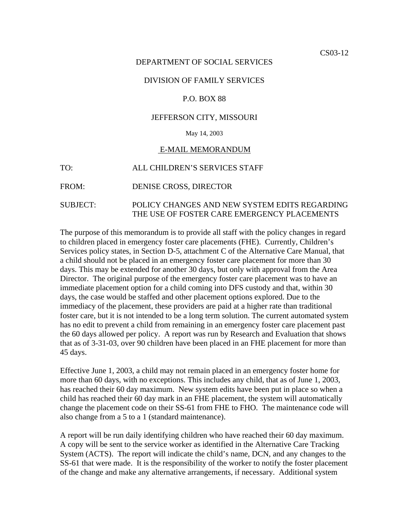## DEPARTMENT OF SOCIAL SERVICES

## DIVISION OF FAMILY SERVICES

### P.O. BOX 88

# JEFFERSON CITY, MISSOURI

## May 14, 2003

#### E-MAIL MEMORANDUM

#### FROM: DENISE CROSS, DIRECTOR

# SUBJECT: POLICY CHANGES AND NEW SYSTEM EDITS REGARDING THE USE OF FOSTER CARE EMERGENCY PLACEMENTS

The purpose of this memorandum is to provide all staff with the policy changes in regard to children placed in emergency foster care placements (FHE). Currently, Children's Services policy states, in Section D-5, attachment C of the Alternative Care Manual, that a child should not be placed in an emergency foster care placement for more than 30 days. This may be extended for another 30 days, but only with approval from the Area Director. The original purpose of the emergency foster care placement was to have an immediate placement option for a child coming into DFS custody and that, within 30 days, the case would be staffed and other placement options explored. Due to the immediacy of the placement, these providers are paid at a higher rate than traditional foster care, but it is not intended to be a long term solution. The current automated system has no edit to prevent a child from remaining in an emergency foster care placement past the 60 days allowed per policy. A report was run by Research and Evaluation that shows that as of 3-31-03, over 90 children have been placed in an FHE placement for more than 45 days.

Effective June 1, 2003, a child may not remain placed in an emergency foster home for more than 60 days, with no exceptions. This includes any child, that as of June 1, 2003, has reached their 60 day maximum. New system edits have been put in place so when a child has reached their 60 day mark in an FHE placement, the system will automatically change the placement code on their SS-61 from FHE to FHO. The maintenance code will also change from a 5 to a 1 (standard maintenance).

A report will be run daily identifying children who have reached their 60 day maximum. A copy will be sent to the service worker as identified in the Alternative Care Tracking System (ACTS). The report will indicate the child's name, DCN, and any changes to the SS-61 that were made. It is the responsibility of the worker to notify the foster placement of the change and make any alternative arrangements, if necessary. Additional system